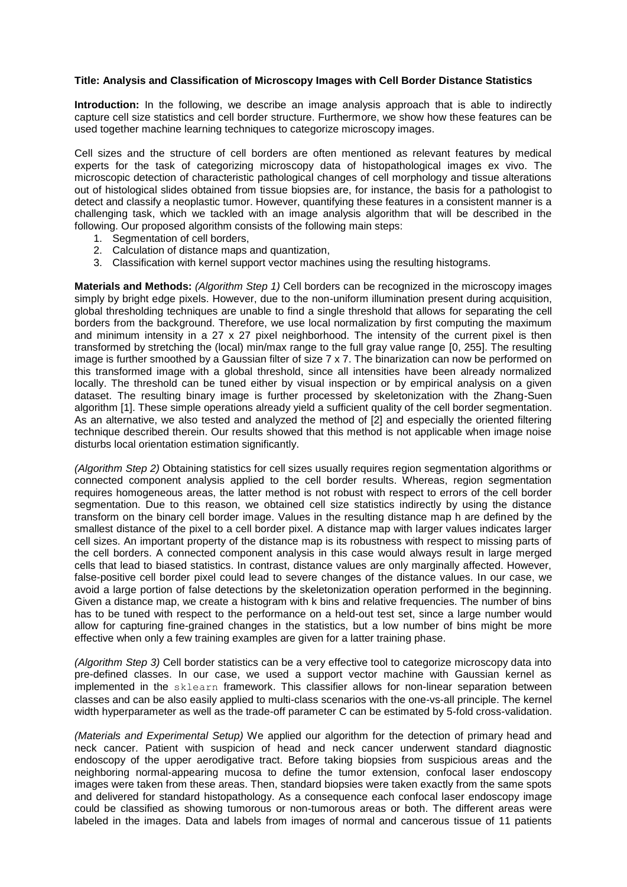## **Title: Analysis and Classification of Microscopy Images with Cell Border Distance Statistics**

**Introduction:** In the following, we describe an image analysis approach that is able to indirectly capture cell size statistics and cell border structure. Furthermore, we show how these features can be used together machine learning techniques to categorize microscopy images.

Cell sizes and the structure of cell borders are often mentioned as relevant features by medical experts for the task of categorizing microscopy data of histopathological images ex vivo. The microscopic detection of characteristic pathological changes of cell morphology and tissue alterations out of histological slides obtained from tissue biopsies are, for instance, the basis for a pathologist to detect and classify a neoplastic tumor. However, quantifying these features in a consistent manner is a challenging task, which we tackled with an image analysis algorithm that will be described in the following. Our proposed algorithm consists of the following main steps:

- 1. Segmentation of cell borders,
- 2. Calculation of distance maps and quantization,
- 3. Classification with kernel support vector machines using the resulting histograms.

**Materials and Methods:** *(Algorithm Step 1)* Cell borders can be recognized in the microscopy images simply by bright edge pixels. However, due to the non-uniform illumination present during acquisition, global thresholding techniques are unable to find a single threshold that allows for separating the cell borders from the background. Therefore, we use local normalization by first computing the maximum and minimum intensity in a 27 x 27 pixel neighborhood. The intensity of the current pixel is then transformed by stretching the (local) min/max range to the full gray value range [0, 255]. The resulting image is further smoothed by a Gaussian filter of size 7 x 7. The binarization can now be performed on this transformed image with a global threshold, since all intensities have been already normalized locally. The threshold can be tuned either by visual inspection or by empirical analysis on a given dataset. The resulting binary image is further processed by skeletonization with the Zhang-Suen algorithm [1]. These simple operations already yield a sufficient quality of the cell border segmentation. As an alternative, we also tested and analyzed the method of [2] and especially the oriented filtering technique described therein. Our results showed that this method is not applicable when image noise disturbs local orientation estimation significantly.

*(Algorithm Step 2)* Obtaining statistics for cell sizes usually requires region segmentation algorithms or connected component analysis applied to the cell border results. Whereas, region segmentation requires homogeneous areas, the latter method is not robust with respect to errors of the cell border segmentation. Due to this reason, we obtained cell size statistics indirectly by using the distance transform on the binary cell border image. Values in the resulting distance map h are defined by the smallest distance of the pixel to a cell border pixel. A distance map with larger values indicates larger cell sizes. An important property of the distance map is its robustness with respect to missing parts of the cell borders. A connected component analysis in this case would always result in large merged cells that lead to biased statistics. In contrast, distance values are only marginally affected. However, false-positive cell border pixel could lead to severe changes of the distance values. In our case, we avoid a large portion of false detections by the skeletonization operation performed in the beginning. Given a distance map, we create a histogram with k bins and relative frequencies. The number of bins has to be tuned with respect to the performance on a held-out test set, since a large number would allow for capturing fine-grained changes in the statistics, but a low number of bins might be more effective when only a few training examples are given for a latter training phase.

*(Algorithm Step 3)* Cell border statistics can be a very effective tool to categorize microscopy data into pre-defined classes. In our case, we used a support vector machine with Gaussian kernel as implemented in the sklearn framework. This classifier allows for non-linear separation between classes and can be also easily applied to multi-class scenarios with the one-vs-all principle. The kernel width hyperparameter as well as the trade-off parameter C can be estimated by 5-fold cross-validation.

*(Materials and Experimental Setup)* We applied our algorithm for the detection of primary head and neck cancer. Patient with suspicion of head and neck cancer underwent standard diagnostic endoscopy of the upper aerodigative tract. Before taking biopsies from suspicious areas and the neighboring normal-appearing mucosa to define the tumor extension, confocal laser endoscopy images were taken from these areas. Then, standard biopsies were taken exactly from the same spots and delivered for standard histopathology. As a consequence each confocal laser endoscopy image could be classified as showing tumorous or non-tumorous areas or both. The different areas were labeled in the images. Data and labels from images of normal and cancerous tissue of 11 patients